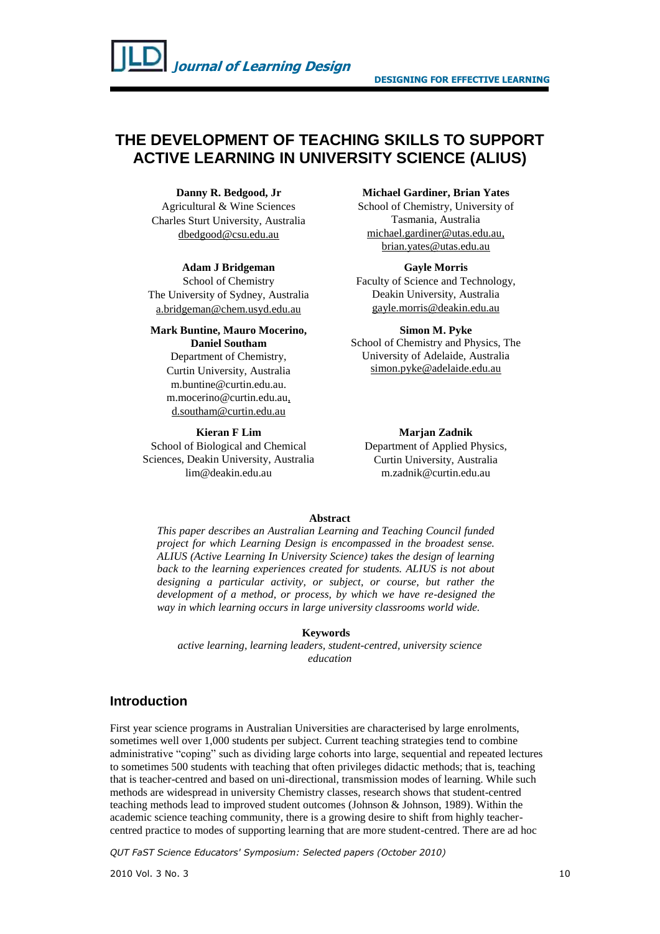# **THE DEVELOPMENT OF TEACHING SKILLS TO SUPPORT ACTIVE LEARNING IN UNIVERSITY SCIENCE (ALIUS)**

#### **Danny R. Bedgood, Jr**

Agricultural & Wine Sciences Charles Sturt University, Australia dbedgood@csu.edu.au

#### **Adam J Bridgeman**

School of Chemistry The University of Sydney, Australia a.bridgeman@chem.usyd.edu.au

#### **Mark Buntine, Mauro Mocerino, Daniel Southam**

Department of Chemistry, Curtin University, Australia [m.buntine@curtin.edu.au.](mailto:m.buntine@curtin.edu.au) [m.mocerino@curtin.edu.au,](mailto:m.mocerino@curtin.edu.au) d.southam@curtin.edu.au

#### **Kieran F Lim**

School of Biological and Chemical Sciences, Deakin University, Australia lim@deakin.edu.au

#### **Michael Gardiner, Brian Yates**

School of Chemistry, University of Tasmania, Australia michael.gardiner@utas.edu.au, brian.yates@utas.edu.au

### **Gayle Morris**

Faculty of Science and Technology, Deakin University, Australia gayle.morris@deakin.edu.au

#### **Simon M. Pyke**

School of Chemistry and Physics, The University of Adelaide, Australia simon.pyke@adelaide.edu.au

### **Marjan Zadnik**

Department of Applied Physics, Curtin University, Australia [m.zadnik@curtin.edu.au](mailto:m.zadnik@curtin.edu.au)

#### **Abstract**

*This paper describes an Australian Learning and Teaching Council funded project for which Learning Design is encompassed in the broadest sense. ALIUS (Active Learning In University Science) takes the design of learning*  back to the learning experiences created for students. ALIUS is not about *designing a particular activity, or subject, or course, but rather the development of a method, or process, by which we have re-designed the way in which learning occurs in large university classrooms world wide.*

#### **Keywords**

*active learning, learning leaders, student-centred, university science education*

## **Introduction**

First year science programs in Australian Universities are characterised by large enrolments, sometimes well over 1,000 students per subject. Current teaching strategies tend to combine administrative "coping" such as dividing large cohorts into large, sequential and repeated lectures to sometimes 500 students with teaching that often privileges didactic methods; that is, teaching that is teacher-centred and based on uni-directional, transmission modes of learning. While such methods are widespread in university Chemistry classes, research shows that student-centred teaching methods lead to improved student outcomes (Johnson & Johnson, 1989). Within the academic science teaching community, there is a growing desire to shift from highly teachercentred practice to modes of supporting learning that are more student-centred. There are ad hoc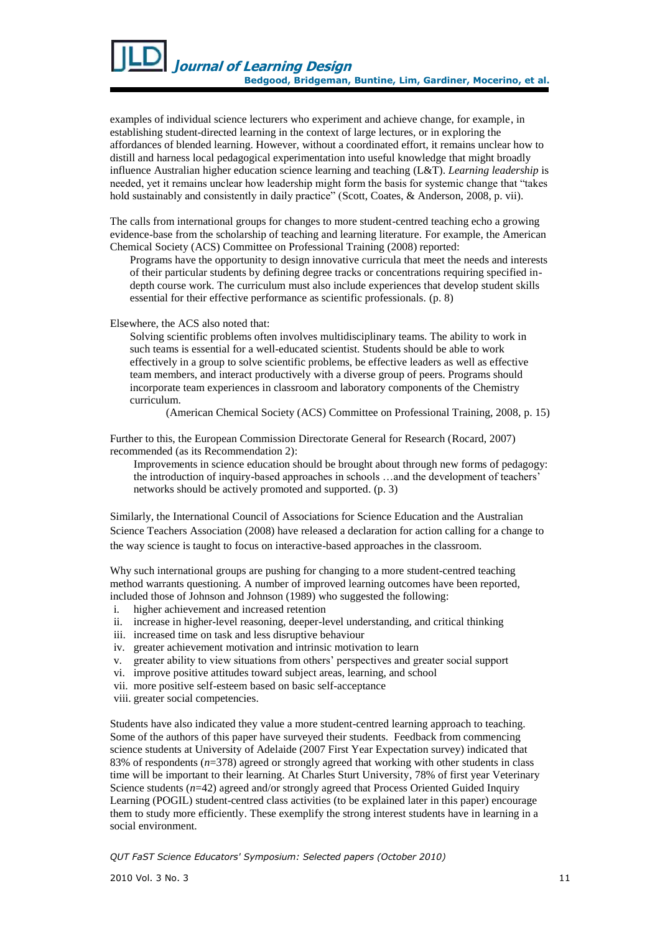examples of individual science lecturers who experiment and achieve change, for example, in establishing student-directed learning in the context of large lectures, or in exploring the affordances of blended learning. However, without a coordinated effort, it remains unclear how to distill and harness local pedagogical experimentation into useful knowledge that might broadly influence Australian higher education science learning and teaching (L&T). *Learning leadership* is needed, yet it remains unclear how leadership might form the basis for systemic change that "takes hold sustainably and consistently in daily practice" (Scott, Coates, & Anderson, 2008, p. vii).

The calls from international groups for changes to more student-centred teaching echo a growing evidence-base from the scholarship of teaching and learning literature. For example, the American Chemical Society (ACS) Committee on Professional Training (2008) reported:

Programs have the opportunity to design innovative curricula that meet the needs and interests of their particular students by defining degree tracks or concentrations requiring specified indepth course work. The curriculum must also include experiences that develop student skills essential for their effective performance as scientific professionals. (p. 8)

Elsewhere, the ACS also noted that:

Solving scientific problems often involves multidisciplinary teams. The ability to work in such teams is essential for a well-educated scientist. Students should be able to work effectively in a group to solve scientific problems, be effective leaders as well as effective team members, and interact productively with a diverse group of peers. Programs should incorporate team experiences in classroom and laboratory components of the Chemistry curriculum.

(American Chemical Society (ACS) Committee on Professional Training, 2008, p. 15)

Further to this, the European Commission Directorate General for Research (Rocard, 2007) recommended (as its Recommendation 2):

Improvements in science education should be brought about through new forms of pedagogy: the introduction of inquiry-based approaches in schools …and the development of teachers" networks should be actively promoted and supported. (p. 3)

Similarly, the International Council of Associations for Science Education and the Australian Science Teachers Association (2008) have released a declaration for action calling for a change to the way science is taught to focus on interactive-based approaches in the classroom.

Why such international groups are pushing for changing to a more student-centred teaching method warrants questioning. A number of improved learning outcomes have been reported, included those of Johnson and Johnson (1989) who suggested the following:

- i. higher achievement and increased retention
- ii. increase in higher-level reasoning, deeper-level understanding, and critical thinking
- iii. increased time on task and less disruptive behaviour
- iv. greater achievement motivation and intrinsic motivation to learn
- v. greater ability to view situations from others" perspectives and greater social support
- vi. improve positive attitudes toward subject areas, learning, and school
- vii. more positive self-esteem based on basic self-acceptance
- viii. greater social competencies.

Students have also indicated they value a more student-centred learning approach to teaching. Some of the authors of this paper have surveyed their students. Feedback from commencing science students at University of Adelaide (2007 First Year Expectation survey) indicated that 83% of respondents (*n*=378) agreed or strongly agreed that working with other students in class time will be important to their learning. At Charles Sturt University, 78% of first year Veterinary Science students ( $n=42$ ) agreed and/or strongly agreed that Process Oriented Guided Inquiry Learning (POGIL) student-centred class activities (to be explained later in this paper) encourage them to study more efficiently. These exemplify the strong interest students have in learning in a social environment.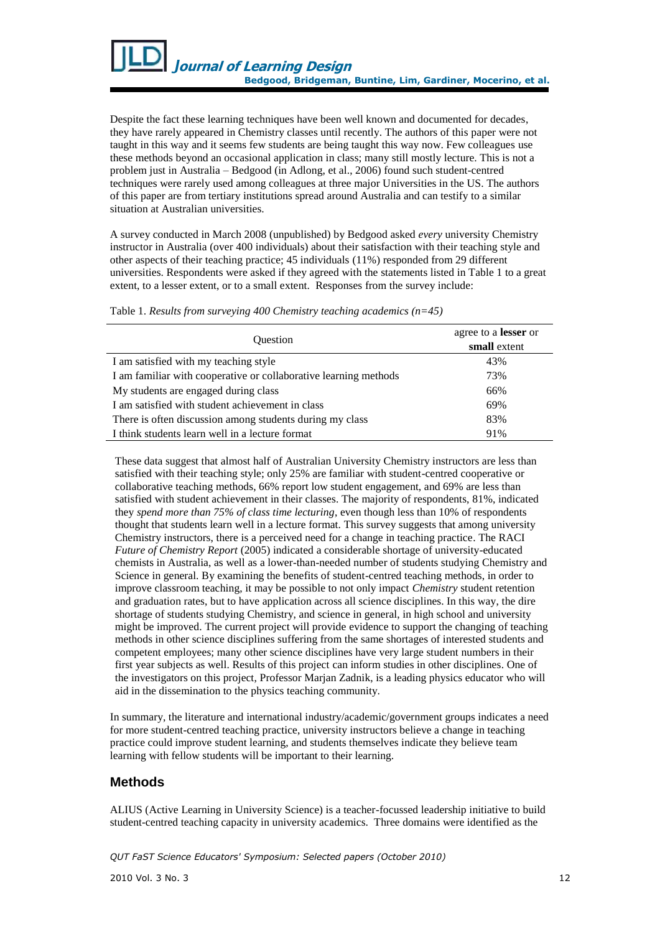

Despite the fact these learning techniques have been well known and documented for decades, they have rarely appeared in Chemistry classes until recently. The authors of this paper were not taught in this way and it seems few students are being taught this way now. Few colleagues use these methods beyond an occasional application in class; many still mostly lecture. This is not a problem just in Australia – Bedgood (in Adlong, et al., 2006) found such student-centred techniques were rarely used among colleagues at three major Universities in the US. The authors of this paper are from tertiary institutions spread around Australia and can testify to a similar situation at Australian universities.

A survey conducted in March 2008 (unpublished) by Bedgood asked *every* university Chemistry instructor in Australia (over 400 individuals) about their satisfaction with their teaching style and other aspects of their teaching practice; 45 individuals (11%) responded from 29 different universities. Respondents were asked if they agreed with the statements listed in Table 1 to a great extent, to a lesser extent, or to a small extent. Responses from the survey include:

Table 1. *Results from surveying 400 Chemistry teaching academics (n=45)*

| <b>Ouestion</b>                                                  | agree to a lesser or<br>small extent |
|------------------------------------------------------------------|--------------------------------------|
| I am satisfied with my teaching style                            | 43%                                  |
| I am familiar with cooperative or collaborative learning methods | 73%                                  |
| My students are engaged during class                             | 66%                                  |
| I am satisfied with student achievement in class                 | 69%                                  |
| There is often discussion among students during my class         | 83%                                  |
| I think students learn well in a lecture format                  | 91%                                  |

These data suggest that almost half of Australian University Chemistry instructors are less than satisfied with their teaching style; only 25% are familiar with student-centred cooperative or collaborative teaching methods, 66% report low student engagement, and 69% are less than satisfied with student achievement in their classes. The majority of respondents, 81%, indicated they *spend more than 75% of class time lecturing*, even though less than 10% of respondents thought that students learn well in a lecture format. This survey suggests that among university Chemistry instructors, there is a perceived need for a change in teaching practice. The RACI *Future of Chemistry Report* (2005) indicated a considerable shortage of university-educated chemists in Australia, as well as a lower-than-needed number of students studying Chemistry and Science in general. By examining the benefits of student-centred teaching methods, in order to improve classroom teaching, it may be possible to not only impact *Chemistry* student retention and graduation rates, but to have application across all science disciplines. In this way, the dire shortage of students studying Chemistry, and science in general, in high school and university might be improved. The current project will provide evidence to support the changing of teaching methods in other science disciplines suffering from the same shortages of interested students and competent employees; many other science disciplines have very large student numbers in their first year subjects as well. Results of this project can inform studies in other disciplines. One of the investigators on this project, Professor Marjan Zadnik, is a leading physics educator who will aid in the dissemination to the physics teaching community.

In summary, the literature and international industry/academic/government groups indicates a need for more student-centred teaching practice, university instructors believe a change in teaching practice could improve student learning, and students themselves indicate they believe team learning with fellow students will be important to their learning.

## **Methods**

ALIUS (Active Learning in University Science) is a teacher-focussed leadership initiative to build student-centred teaching capacity in university academics. Three domains were identified as the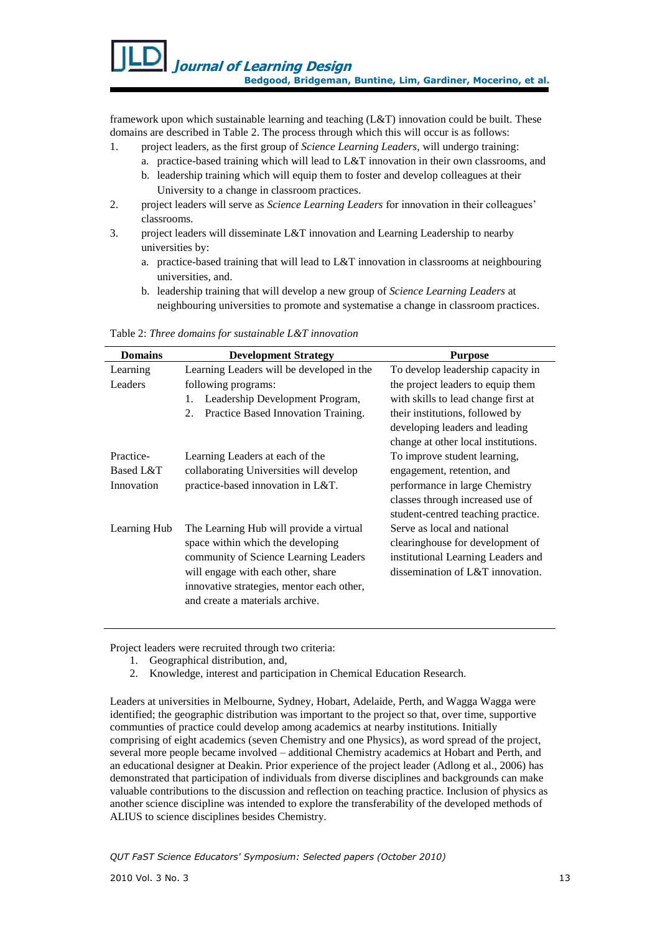framework upon which sustainable learning and teaching (L&T) innovation could be built. These domains are described in Table 2. The process through which this will occur is as follows:

- 1. project leaders, as the first group of *Science Learning Leaders*, will undergo training:
	- a. practice-based training which will lead to L&T innovation in their own classrooms, and
	- b. leadership training which will equip them to foster and develop colleagues at their University to a change in classroom practices.
- 2. project leaders will serve as *Science Learning Leaders* for innovation in their colleagues" classrooms.
- 3. project leaders will disseminate L&T innovation and Learning Leadership to nearby universities by:
	- a. practice-based training that will lead to L&T innovation in classrooms at neighbouring universities, and.
	- b. leadership training that will develop a new group of *Science Learning Leaders* at neighbouring universities to promote and systematise a change in classroom practices.

| <b>Domains</b> | <b>Development Strategy</b>               | <b>Purpose</b>                      |
|----------------|-------------------------------------------|-------------------------------------|
| Learning       | Learning Leaders will be developed in the | To develop leadership capacity in   |
| Leaders        | following programs:                       | the project leaders to equip them   |
|                | Leadership Development Program,<br>1.     | with skills to lead change first at |
|                | Practice Based Innovation Training.<br>2. | their institutions, followed by     |
|                |                                           | developing leaders and leading      |
|                |                                           | change at other local institutions. |
| Practice-      | Learning Leaders at each of the           | To improve student learning,        |
| Based L&T      | collaborating Universities will develop   | engagement, retention, and          |
| Innovation     | practice-based innovation in L&T.         | performance in large Chemistry      |
|                |                                           | classes through increased use of    |
|                |                                           | student-centred teaching practice.  |
| Learning Hub   | The Learning Hub will provide a virtual   | Serve as local and national         |
|                | space within which the developing         | clearinghouse for development of    |
|                | community of Science Learning Leaders     | institutional Learning Leaders and  |
|                | will engage with each other, share        | dissemination of L&T innovation.    |
|                | innovative strategies, mentor each other, |                                     |
|                | and create a materials archive.           |                                     |
|                |                                           |                                     |

Table 2: *Three domains for sustainable L&T innovation*

Project leaders were recruited through two criteria:

- 1. Geographical distribution, and,
- 2. Knowledge, interest and participation in Chemical Education Research.

Leaders at universities in Melbourne, Sydney, Hobart, Adelaide, Perth, and Wagga Wagga were identified; the geographic distribution was important to the project so that, over time, supportive communties of practice could develop among academics at nearby institutions. Initially comprising of eight academics (seven Chemistry and one Physics), as word spread of the project, several more people became involved – additional Chemistry academics at Hobart and Perth, and an educational designer at Deakin. Prior experience of the project leader (Adlong et al., 2006) has demonstrated that participation of individuals from diverse disciplines and backgrounds can make valuable contributions to the discussion and reflection on teaching practice. Inclusion of physics as another science discipline was intended to explore the transferability of the developed methods of ALIUS to science disciplines besides Chemistry.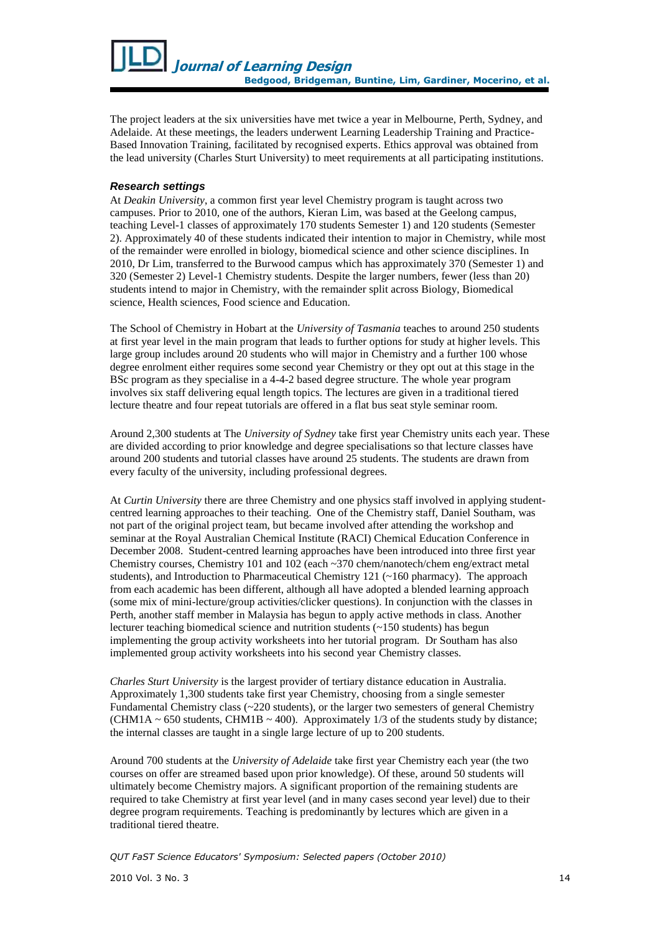

The project leaders at the six universities have met twice a year in Melbourne, Perth, Sydney, and Adelaide. At these meetings, the leaders underwent Learning Leadership Training and Practice-Based Innovation Training, facilitated by recognised experts. Ethics approval was obtained from the lead university (Charles Sturt University) to meet requirements at all participating institutions.

### *Research settings*

At *Deakin University*, a common first year level Chemistry program is taught across two campuses. Prior to 2010, one of the authors, Kieran Lim, was based at the Geelong campus, teaching Level-1 classes of approximately 170 students Semester 1) and 120 students (Semester 2). Approximately 40 of these students indicated their intention to major in Chemistry, while most of the remainder were enrolled in biology, biomedical science and other science disciplines. In 2010, Dr Lim, transferred to the Burwood campus which has approximately 370 (Semester 1) and 320 (Semester 2) Level-1 Chemistry students. Despite the larger numbers, fewer (less than 20) students intend to major in Chemistry, with the remainder split across Biology, Biomedical science, Health sciences, Food science and Education.

The School of Chemistry in Hobart at the *University of Tasmania* teaches to around 250 students at first year level in the main program that leads to further options for study at higher levels. This large group includes around 20 students who will major in Chemistry and a further 100 whose degree enrolment either requires some second year Chemistry or they opt out at this stage in the BSc program as they specialise in a 4-4-2 based degree structure. The whole year program involves six staff delivering equal length topics. The lectures are given in a traditional tiered lecture theatre and four repeat tutorials are offered in a flat bus seat style seminar room.

Around 2,300 students at The *University of Sydney* take first year Chemistry units each year. These are divided according to prior knowledge and degree specialisations so that lecture classes have around 200 students and tutorial classes have around 25 students. The students are drawn from every faculty of the university, including professional degrees.

At *Curtin University* there are three Chemistry and one physics staff involved in applying studentcentred learning approaches to their teaching. One of the Chemistry staff, Daniel Southam, was not part of the original project team, but became involved after attending the workshop and seminar at the Royal Australian Chemical Institute (RACI) Chemical Education Conference in December 2008. Student-centred learning approaches have been introduced into three first year Chemistry courses, Chemistry 101 and 102 (each ~370 chem/nanotech/chem eng/extract metal students), and Introduction to Pharmaceutical Chemistry 121 (~160 pharmacy). The approach from each academic has been different, although all have adopted a blended learning approach (some mix of mini-lecture/group activities/clicker questions). In conjunction with the classes in Perth, another staff member in Malaysia has begun to apply active methods in class. Another lecturer teaching biomedical science and nutrition students (~150 students) has begun implementing the group activity worksheets into her tutorial program. Dr Southam has also implemented group activity worksheets into his second year Chemistry classes.

*Charles Sturt University* is the largest provider of tertiary distance education in Australia. Approximately 1,300 students take first year Chemistry, choosing from a single semester Fundamental Chemistry class  $\left(\sim 220 \text{ students}\right)$ , or the larger two semesters of general Chemistry (CHM1A  $\sim$  650 students, CHM1B  $\sim$  400). Approximately 1/3 of the students study by distance; the internal classes are taught in a single large lecture of up to 200 students.

Around 700 students at the *University of Adelaide* take first year Chemistry each year (the two courses on offer are streamed based upon prior knowledge). Of these, around 50 students will ultimately become Chemistry majors. A significant proportion of the remaining students are required to take Chemistry at first year level (and in many cases second year level) due to their degree program requirements. Teaching is predominantly by lectures which are given in a traditional tiered theatre.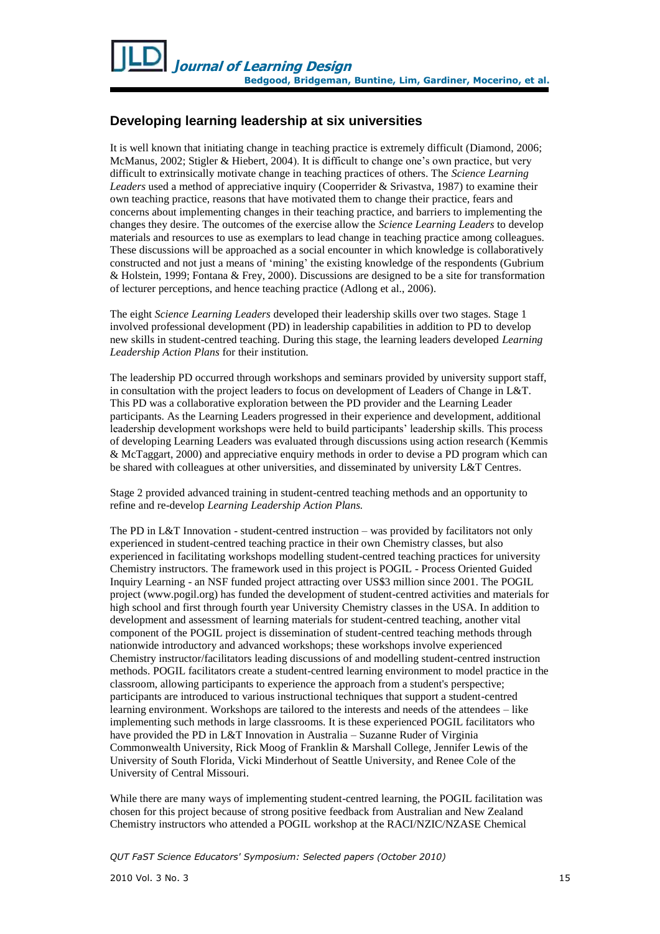# **Developing learning leadership at six universities**

It is well known that initiating change in teaching practice is extremely difficult (Diamond, 2006; McManus, 2002; Stigler & Hiebert, 2004). It is difficult to change one"s own practice, but very difficult to extrinsically motivate change in teaching practices of others. The *Science Learning Leaders* used a method of appreciative inquiry (Cooperrider & Srivastva, 1987) to examine their own teaching practice, reasons that have motivated them to change their practice, fears and concerns about implementing changes in their teaching practice, and barriers to implementing the changes they desire. The outcomes of the exercise allow the *Science Learning Leaders* to develop materials and resources to use as exemplars to lead change in teaching practice among colleagues. These discussions will be approached as a social encounter in which knowledge is collaboratively constructed and not just a means of "mining" the existing knowledge of the respondents (Gubrium & Holstein, 1999; Fontana & Frey, 2000). Discussions are designed to be a site for transformation of lecturer perceptions, and hence teaching practice (Adlong et al., 2006).

The eight *Science Learning Leaders* developed their leadership skills over two stages. Stage 1 involved professional development (PD) in leadership capabilities in addition to PD to develop new skills in student-centred teaching. During this stage, the learning leaders developed *Learning Leadership Action Plans* for their institution*.*

The leadership PD occurred through workshops and seminars provided by university support staff, in consultation with the project leaders to focus on development of Leaders of Change in L&T. This PD was a collaborative exploration between the PD provider and the Learning Leader participants. As the Learning Leaders progressed in their experience and development, additional leadership development workshops were held to build participants" leadership skills. This process of developing Learning Leaders was evaluated through discussions using action research (Kemmis & McTaggart, 2000) and appreciative enquiry methods in order to devise a PD program which can be shared with colleagues at other universities, and disseminated by university L&T Centres.

Stage 2 provided advanced training in student-centred teaching methods and an opportunity to refine and re-develop *Learning Leadership Action Plans.*

The PD in L&T Innovation - student-centred instruction – was provided by facilitators not only experienced in student-centred teaching practice in their own Chemistry classes, but also experienced in facilitating workshops modelling student-centred teaching practices for university Chemistry instructors. The framework used in this project is POGIL - Process Oriented Guided Inquiry Learning - an NSF funded project attracting over US\$3 million since 2001. The POGIL project (www.pogil.org) has funded the development of student-centred activities and materials for high school and first through fourth year University Chemistry classes in the USA. In addition to development and assessment of learning materials for student-centred teaching, another vital component of the POGIL project is dissemination of student-centred teaching methods through nationwide introductory and advanced workshops; these workshops involve experienced Chemistry instructor/facilitators leading discussions of and modelling student-centred instruction methods. POGIL facilitators create a student-centred learning environment to model practice in the classroom, allowing participants to experience the approach from a student's perspective; participants are introduced to various instructional techniques that support a student-centred learning environment. Workshops are tailored to the interests and needs of the attendees – like implementing such methods in large classrooms. It is these experienced POGIL facilitators who have provided the PD in L&T Innovation in Australia – Suzanne Ruder of Virginia Commonwealth University, Rick Moog of Franklin & Marshall College, Jennifer Lewis of the University of South Florida, Vicki Minderhout of Seattle University, and Renee Cole of the University of Central Missouri.

While there are many ways of implementing student-centred learning, the POGIL facilitation was chosen for this project because of strong positive feedback from Australian and New Zealand Chemistry instructors who attended a POGIL workshop at the RACI/NZIC/NZASE Chemical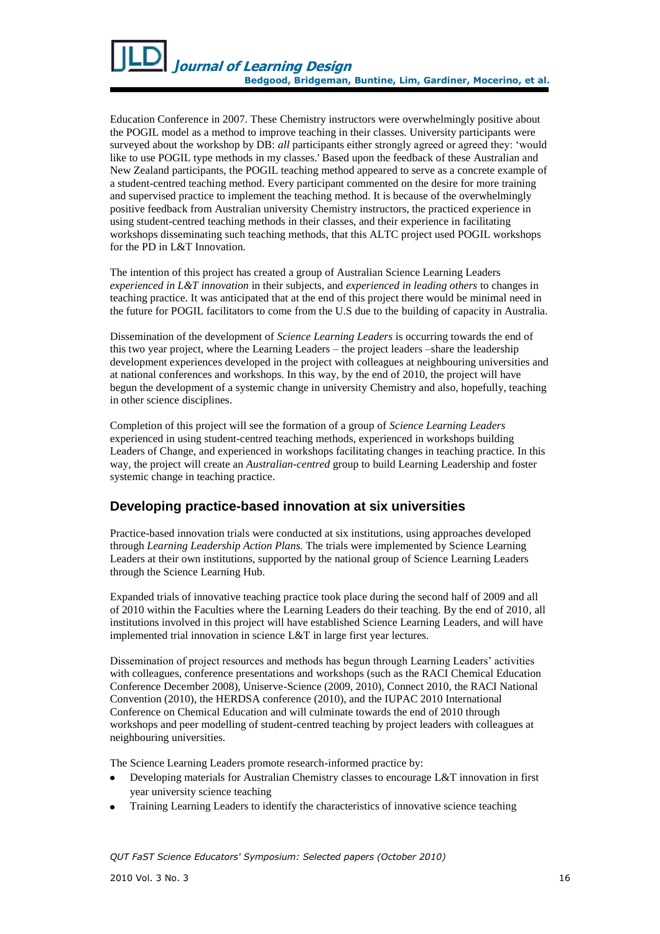

Education Conference in 2007. These Chemistry instructors were overwhelmingly positive about the POGIL model as a method to improve teaching in their classes. University participants were surveyed about the workshop by DB: *all* participants either strongly agreed or agreed they: 'would like to use POGIL type methods in my classes.' Based upon the feedback of these Australian and New Zealand participants, the POGIL teaching method appeared to serve as a concrete example of a student-centred teaching method. Every participant commented on the desire for more training and supervised practice to implement the teaching method. It is because of the overwhelmingly positive feedback from Australian university Chemistry instructors, the practiced experience in using student-centred teaching methods in their classes, and their experience in facilitating workshops disseminating such teaching methods, that this ALTC project used POGIL workshops for the PD in L&T Innovation.

The intention of this project has created a group of Australian Science Learning Leaders *experienced in L&T innovation* in their subjects, and *experienced in leading others* to changes in teaching practice. It was anticipated that at the end of this project there would be minimal need in the future for POGIL facilitators to come from the U.S due to the building of capacity in Australia.

Dissemination of the development of *Science Learning Leaders* is occurring towards the end of this two year project, where the Learning Leaders – the project leaders –share the leadership development experiences developed in the project with colleagues at neighbouring universities and at national conferences and workshops. In this way, by the end of 2010, the project will have begun the development of a systemic change in university Chemistry and also, hopefully, teaching in other science disciplines.

Completion of this project will see the formation of a group of *Science Learning Leaders* experienced in using student-centred teaching methods, experienced in workshops building Leaders of Change, and experienced in workshops facilitating changes in teaching practice. In this way, the project will create an *Australian-centred* group to build Learning Leadership and foster systemic change in teaching practice.

## **Developing practice-based innovation at six universities**

Practice-based innovation trials were conducted at six institutions, using approaches developed through *Learning Leadership Action Plans.* The trials were implemented by Science Learning Leaders at their own institutions, supported by the national group of Science Learning Leaders through the Science Learning Hub.

Expanded trials of innovative teaching practice took place during the second half of 2009 and all of 2010 within the Faculties where the Learning Leaders do their teaching. By the end of 2010, all institutions involved in this project will have established Science Learning Leaders, and will have implemented trial innovation in science L&T in large first year lectures.

Dissemination of project resources and methods has begun through Learning Leaders" activities with colleagues, conference presentations and workshops (such as the RACI Chemical Education Conference December 2008), Uniserve-Science (2009, 2010), Connect 2010, the RACI National Convention (2010), the HERDSA conference (2010), and the IUPAC 2010 International Conference on Chemical Education and will culminate towards the end of 2010 through workshops and peer modelling of student-centred teaching by project leaders with colleagues at neighbouring universities.

The Science Learning Leaders promote research-informed practice by:

- Developing materials for Australian Chemistry classes to encourage L&T innovation in first year university science teaching
- Training Learning Leaders to identify the characteristics of innovative science teaching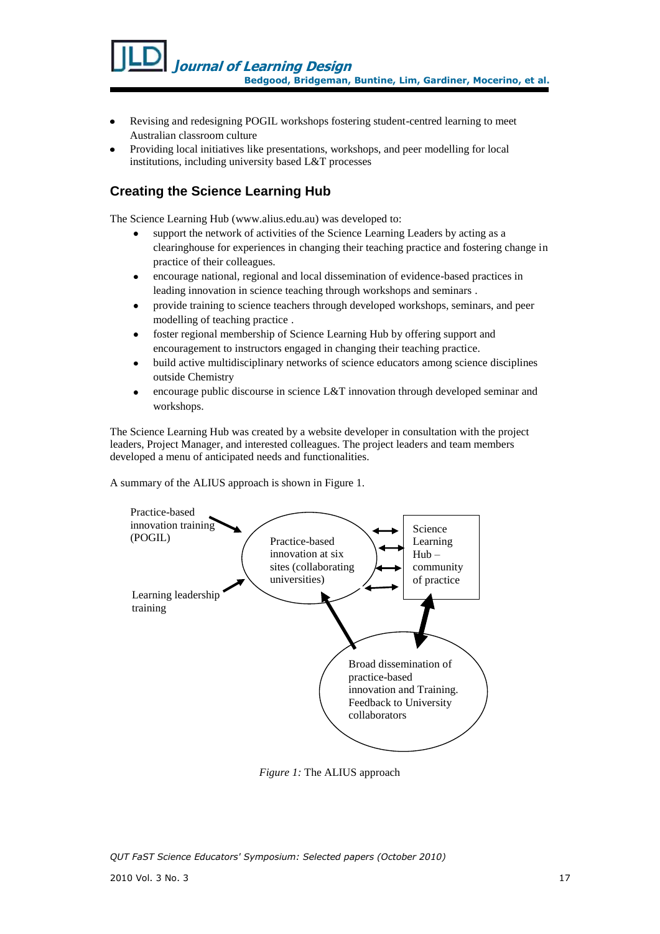- Revising and redesigning POGIL workshops fostering student-centred learning to meet Australian classroom culture
- Providing local initiatives like presentations, workshops, and peer modelling for local institutions, including university based L&T processes

# **Creating the Science Learning Hub**

The Science Learning Hub [\(www.alius.edu.au\)](www.alius.edu.au) was developed to:

- support the network of activities of the Science Learning Leaders by acting as a clearinghouse for experiences in changing their teaching practice and fostering change in practice of their colleagues.
- encourage national, regional and local dissemination of evidence-based practices in leading innovation in science teaching through workshops and seminars .
- provide training to science teachers through developed workshops, seminars, and peer modelling of teaching practice .
- foster regional membership of Science Learning Hub by offering support and  $\bullet$ encouragement to instructors engaged in changing their teaching practice.
- build active multidisciplinary networks of science educators among science disciplines outside Chemistry
- encourage public discourse in science L&T innovation through developed seminar and workshops.

The Science Learning Hub was created by a website developer in consultation with the project leaders, Project Manager, and interested colleagues. The project leaders and team members developed a menu of anticipated needs and functionalities.

A summary of the ALIUS approach is shown in Figure 1.



*Figure 1:* The ALIUS approach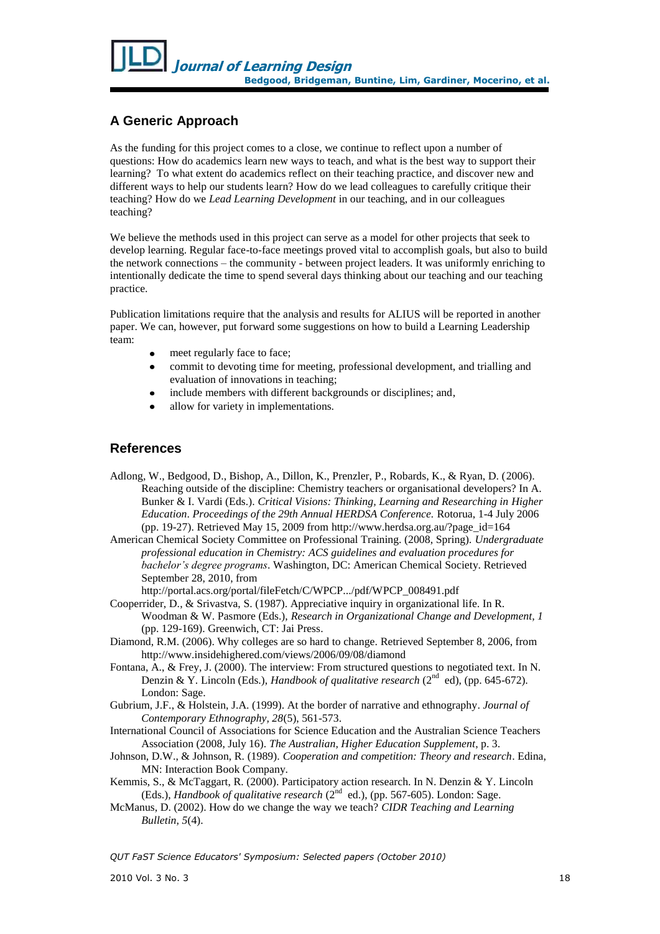# **A Generic Approach**

As the funding for this project comes to a close, we continue to reflect upon a number of questions: How do academics learn new ways to teach, and what is the best way to support their learning? To what extent do academics reflect on their teaching practice, and discover new and different ways to help our students learn? How do we lead colleagues to carefully critique their teaching? How do we *Lead Learning Development* in our teaching, and in our colleagues teaching?

We believe the methods used in this project can serve as a model for other projects that seek to develop learning. Regular face-to-face meetings proved vital to accomplish goals, but also to build the network connections – the community - between project leaders. It was uniformly enriching to intentionally dedicate the time to spend several days thinking about our teaching and our teaching practice.

Publication limitations require that the analysis and results for ALIUS will be reported in another paper. We can, however, put forward some suggestions on how to build a Learning Leadership team:

- meet regularly face to face;
- commit to devoting time for meeting, professional development, and trialling and evaluation of innovations in teaching;
- include members with different backgrounds or disciplines; and,
- allow for variety in implementations.

## **References**

Adlong, W., Bedgood, D., Bishop, A., Dillon, K., Prenzler, P., Robards, K., & Ryan, D. (2006). Reaching outside of the discipline: Chemistry teachers or organisational developers? In A. Bunker & I. Vardi (Eds.). *Critical Visions: Thinking, Learning and Researching in Higher Education*. *Proceedings of the 29th Annual HERDSA Conference.* Rotorua, 1-4 July 2006 (pp. 19-27). Retrieved May 15, 2009 from [http://www.herdsa.org.au/?page\\_id=164](http://www.herdsa.org.au/?page_id=164)

American Chemical Society Committee on Professional Training. (2008, Spring). *Undergraduate professional education in Chemistry: ACS guidelines and evaluation procedures for bachelor's degree programs*. Washington, DC: American Chemical Society. Retrieved September 28, 2010, from

http://portal.acs.org/portal/fileFetch/C/WPCP.../pdf/WPCP\_008491.pdf

- Cooperrider, D., & Srivastva, S. (1987). Appreciative inquiry in organizational life. In R. Woodman & W. Pasmore (Eds.), *Research in Organizational Change and Development, 1*  (pp. 129-169). Greenwich, CT: Jai Press.
- Diamond, R.M. (2006). Why colleges are so hard to change. Retrieved September 8, 2006, from http://www.insidehighered.com/views/2006/09/08/diamond
- Fontana, A., & Frey, J. (2000). The interview: From structured questions to negotiated text. In N. Denzin & Y. Lincoln (Eds.), *Handbook of qualitative research* (2<sup>nd</sup> ed), (pp. 645-672). London: Sage.
- Gubrium, J.F., & Holstein, J.A. (1999). At the border of narrative and ethnography. *Journal of Contemporary Ethnography, 28*(5), 561-573.
- International Council of Associations for Science Education and the Australian Science Teachers Association (2008, July 16). *The Australian, Higher Education Supplement*, p. 3.
- Johnson, D.W., & Johnson, R. (1989). *Cooperation and competition: Theory and research*. Edina, MN: Interaction Book Company.
- Kemmis, S., & McTaggart, R. (2000). Participatory action research. In N. Denzin & Y. Lincoln (Eds.), *Handbook of qualitative research* (2<sup>nd</sup> ed.), (pp. 567-605). London: Sage.
- McManus, D. (2002). How do we change the way we teach? *CIDR Teaching and Learning Bulletin, 5*(4).